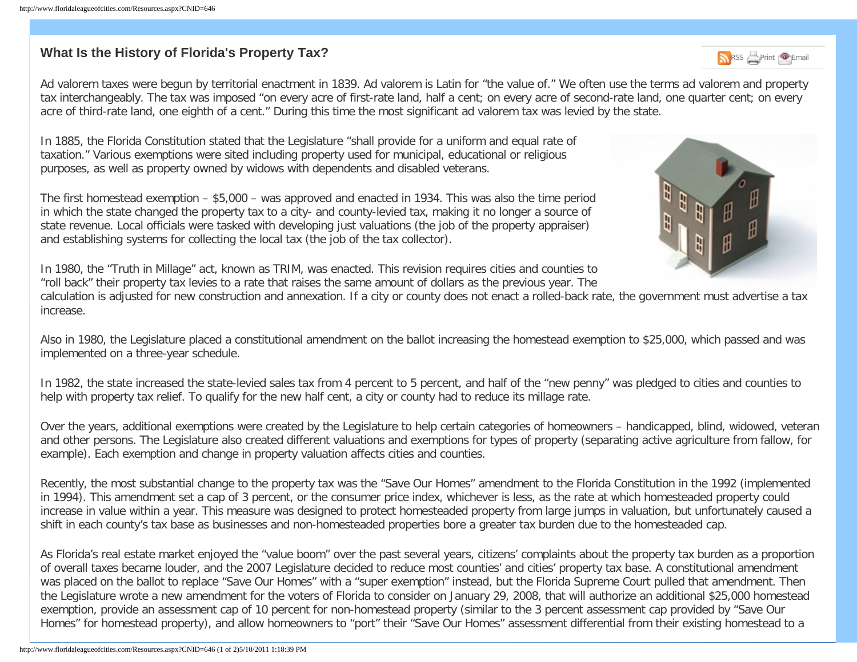## **What Is the History of Florida's Property Tax?** Research 2012 12:30 Research 2013 Research 2013 Research 2014 **Research 2014**

Ad valorem taxes were begun by territorial enactment in 1839. Ad valorem is Latin for "the value of." We often use the terms ad valorem and property tax interchangeably. The tax was imposed "on every acre of first-rate land, half a cent; on every acre of second-rate land, one quarter cent; on every acre of third-rate land, one eighth of a cent." During this time the most significant ad valorem tax was levied by the state.

In 1885, the Florida Constitution stated that the Legislature "shall provide for a uniform and equal rate of taxation." Various exemptions were sited including property used for municipal, educational or religious purposes, as well as property owned by widows with dependents and disabled veterans.

The first homestead exemption – \$5,000 – was approved and enacted in 1934. This was also the time period in which the state changed the property tax to a city- and county-levied tax, making it no longer a source of state revenue. Local officials were tasked with developing just valuations (the job of the property appraiser) and establishing systems for collecting the local tax (the job of the tax collector).



In 1980, the "Truth in Millage" act, known as TRIM, was enacted. This revision requires cities and counties to "roll back" their property tax levies to a rate that raises the same amount of dollars as the previous year. The

calculation is adjusted for new construction and annexation. If a city or county does not enact a rolled-back rate, the government must advertise a tax increase.

Also in 1980, the Legislature placed a constitutional amendment on the ballot increasing the homestead exemption to \$25,000, which passed and was implemented on a three-year schedule.

In 1982, the state increased the state-levied sales tax from 4 percent to 5 percent, and half of the "new penny" was pledged to cities and counties to help with property tax relief. To qualify for the new half cent, a city or county had to reduce its millage rate.

Over the years, additional exemptions were created by the Legislature to help certain categories of homeowners – handicapped, blind, widowed, veteran and other persons. The Legislature also created different valuations and exemptions for types of property (separating active agriculture from fallow, for example). Each exemption and change in property valuation affects cities and counties.

Recently, the most substantial change to the property tax was the "Save Our Homes" amendment to the Florida Constitution in the 1992 (implemented in 1994). This amendment set a cap of 3 percent, or the consumer price index, whichever is less, as the rate at which homesteaded property could increase in value within a year. This measure was designed to protect homesteaded property from large jumps in valuation, but unfortunately caused a shift in each county's tax base as businesses and non-homesteaded properties bore a greater tax burden due to the homesteaded cap.

As Florida's real estate market enjoyed the "value boom" over the past several years, citizens' complaints about the property tax burden as a proportion of overall taxes became louder, and the 2007 Legislature decided to reduce most counties' and cities' property tax base. A constitutional amendment was placed on the ballot to replace "Save Our Homes" with a "super exemption" instead, but the Florida Supreme Court pulled that amendment. Then the Legislature wrote a new amendment for the voters of Florida to consider on January 29, 2008, that will authorize an additional \$25,000 homestead exemption, provide an assessment cap of 10 percent for non-homestead property (similar to the 3 percent assessment cap provided by "Save Our Homes" for homestead property), and allow homeowners to "port" their "Save Our Homes" assessment differential from their existing homestead to a